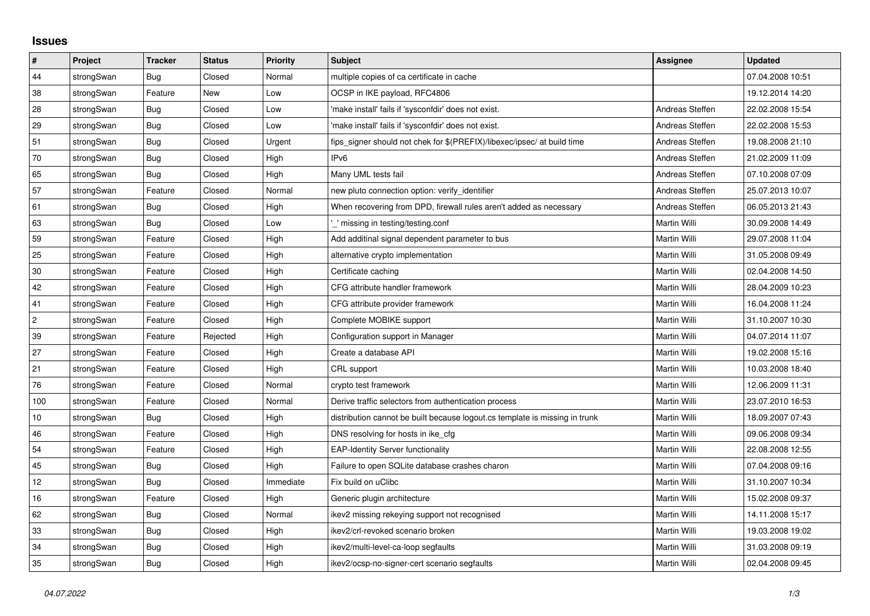## **Issues**

| $\vert$ #  | Project    | <b>Tracker</b> | <b>Status</b> | Priority  | <b>Subject</b>                                                              | <b>Assignee</b>     | <b>Updated</b>   |
|------------|------------|----------------|---------------|-----------|-----------------------------------------------------------------------------|---------------------|------------------|
| 44         | strongSwan | Bug            | Closed        | Normal    | multiple copies of ca certificate in cache                                  |                     | 07.04.2008 10:51 |
| 38         | strongSwan | Feature        | New           | Low       | OCSP in IKE payload, RFC4806                                                |                     | 19.12.2014 14:20 |
| 28         | strongSwan | Bug            | Closed        | Low       | 'make install' fails if 'sysconfdir' does not exist.                        | Andreas Steffen     | 22.02.2008 15:54 |
| 29         | strongSwan | <b>Bug</b>     | Closed        | Low       | 'make install' fails if 'sysconfdir' does not exist.                        | Andreas Steffen     | 22.02.2008 15:53 |
| 51         | strongSwan | <b>Bug</b>     | Closed        | Urgent    | fips_signer should not chek for \$(PREFIX)/libexec/ipsec/ at build time     | Andreas Steffen     | 19.08.2008 21:10 |
| 70         | strongSwan | Bug            | Closed        | High      | IP <sub>v6</sub>                                                            | Andreas Steffen     | 21.02.2009 11:09 |
| 65         | strongSwan | Bug            | Closed        | High      | Many UML tests fail                                                         | Andreas Steffen     | 07.10.2008 07:09 |
| 57         | strongSwan | Feature        | Closed        | Normal    | new pluto connection option: verify identifier                              | Andreas Steffen     | 25.07.2013 10:07 |
| 61         | strongSwan | Bug            | Closed        | High      | When recovering from DPD, firewall rules aren't added as necessary          | Andreas Steffen     | 06.05.2013 21:43 |
| 63         | strongSwan | <b>Bug</b>     | Closed        | Low       | missing in testing/testing.conf                                             | Martin Willi        | 30.09.2008 14:49 |
| 59         | strongSwan | Feature        | Closed        | High      | Add additinal signal dependent parameter to bus                             | Martin Willi        | 29.07.2008 11:04 |
| 25         | strongSwan | Feature        | Closed        | High      | alternative crypto implementation                                           | Martin Willi        | 31.05.2008 09:49 |
| 30         | strongSwan | Feature        | Closed        | High      | Certificate caching                                                         | Martin Willi        | 02.04.2008 14:50 |
| 42         | strongSwan | Feature        | Closed        | High      | CFG attribute handler framework                                             | Martin Willi        | 28.04.2009 10:23 |
| 41         | strongSwan | Feature        | Closed        | High      | CFG attribute provider framework                                            | <b>Martin Willi</b> | 16.04.2008 11:24 |
| $\sqrt{2}$ | strongSwan | Feature        | Closed        | High      | Complete MOBIKE support                                                     | Martin Willi        | 31.10.2007 10:30 |
| 39         | strongSwan | Feature        | Rejected      | High      | Configuration support in Manager                                            | Martin Willi        | 04.07.2014 11:07 |
| 27         | strongSwan | Feature        | Closed        | High      | Create a database API                                                       | Martin Willi        | 19.02.2008 15:16 |
| 21         | strongSwan | Feature        | Closed        | High      | CRL support                                                                 | Martin Willi        | 10.03.2008 18:40 |
| 76         | strongSwan | Feature        | Closed        | Normal    | crypto test framework                                                       | Martin Willi        | 12.06.2009 11:31 |
| 100        | strongSwan | Feature        | Closed        | Normal    | Derive traffic selectors from authentication process                        | Martin Willi        | 23.07.2010 16:53 |
| 10         | strongSwan | Bug            | Closed        | High      | distribution cannot be built because logout.cs template is missing in trunk | Martin Willi        | 18.09.2007 07:43 |
| 46         | strongSwan | Feature        | Closed        | High      | DNS resolving for hosts in ike_cfg                                          | Martin Willi        | 09.06.2008 09:34 |
| 54         | strongSwan | Feature        | Closed        | High      | <b>EAP-Identity Server functionality</b>                                    | Martin Willi        | 22.08.2008 12:55 |
| 45         | strongSwan | Bug            | Closed        | High      | Failure to open SQLite database crashes charon                              | Martin Willi        | 07.04.2008 09:16 |
| 12         | strongSwan | Bug            | Closed        | Immediate | Fix build on uClibc                                                         | Martin Willi        | 31.10.2007 10:34 |
| 16         | strongSwan | Feature        | Closed        | High      | Generic plugin architecture                                                 | Martin Willi        | 15.02.2008 09:37 |
| 62         | strongSwan | Bug            | Closed        | Normal    | ikev2 missing rekeying support not recognised                               | Martin Willi        | 14.11.2008 15:17 |
| 33         | strongSwan | Bug            | Closed        | High      | ikev2/crl-revoked scenario broken                                           | Martin Willi        | 19.03.2008 19:02 |
| 34         | strongSwan | Bug            | Closed        | High      | ikev2/multi-level-ca-loop segfaults                                         | Martin Willi        | 31.03.2008 09:19 |
| 35         | strongSwan | Bug            | Closed        | High      | ikev2/ocsp-no-signer-cert scenario segfaults                                | Martin Willi        | 02.04.2008 09:45 |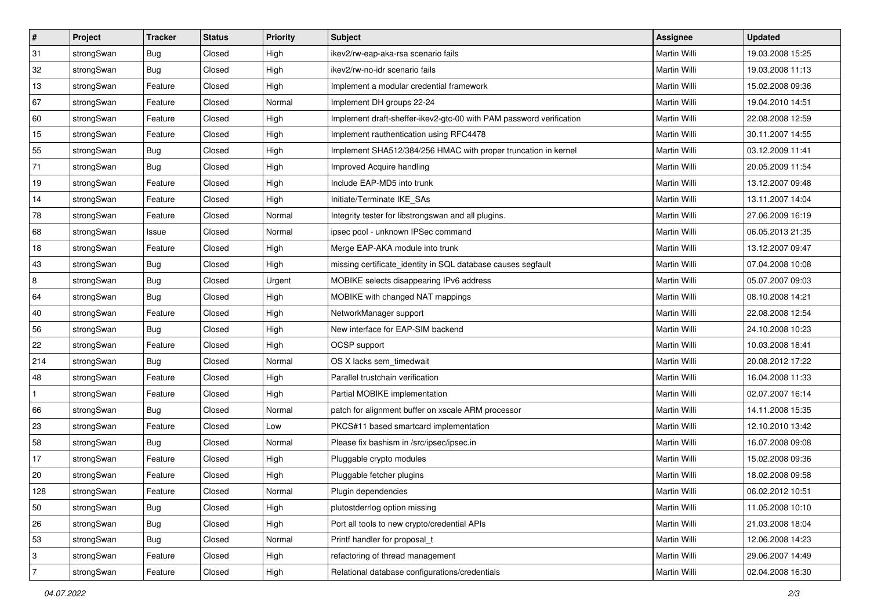| $\vert$ #      | Project    | <b>Tracker</b> | <b>Status</b> | <b>Priority</b> | <b>Subject</b>                                                      | Assignee            | <b>Updated</b>   |
|----------------|------------|----------------|---------------|-----------------|---------------------------------------------------------------------|---------------------|------------------|
| 31             | strongSwan | Bug            | Closed        | High            | ikev2/rw-eap-aka-rsa scenario fails                                 | Martin Willi        | 19.03.2008 15:25 |
| 32             | strongSwan | Bug            | Closed        | High            | ikev2/rw-no-idr scenario fails                                      | <b>Martin Willi</b> | 19.03.2008 11:13 |
| 13             | strongSwan | Feature        | Closed        | High            | Implement a modular credential framework                            | Martin Willi        | 15.02.2008 09:36 |
| 67             | strongSwan | Feature        | Closed        | Normal          | Implement DH groups 22-24                                           | Martin Willi        | 19.04.2010 14:51 |
| 60             | strongSwan | Feature        | Closed        | High            | Implement draft-sheffer-ikev2-gtc-00 with PAM password verification | Martin Willi        | 22.08.2008 12:59 |
| 15             | strongSwan | Feature        | Closed        | High            | Implement rauthentication using RFC4478                             | Martin Willi        | 30.11.2007 14:55 |
| 55             | strongSwan | Bug            | Closed        | High            | Implement SHA512/384/256 HMAC with proper truncation in kernel      | Martin Willi        | 03.12.2009 11:41 |
| 71             | strongSwan | Bug            | Closed        | High            | Improved Acquire handling                                           | Martin Willi        | 20.05.2009 11:54 |
| 19             | strongSwan | Feature        | Closed        | High            | Include EAP-MD5 into trunk                                          | Martin Willi        | 13.12.2007 09:48 |
| 14             | strongSwan | Feature        | Closed        | High            | Initiate/Terminate IKE_SAs                                          | Martin Willi        | 13.11.2007 14:04 |
| 78             | strongSwan | Feature        | Closed        | Normal          | Integrity tester for libstrongswan and all plugins.                 | Martin Willi        | 27.06.2009 16:19 |
| 68             | strongSwan | Issue          | Closed        | Normal          | ipsec pool - unknown IPSec command                                  | Martin Willi        | 06.05.2013 21:35 |
| 18             | strongSwan | Feature        | Closed        | High            | Merge EAP-AKA module into trunk                                     | <b>Martin Willi</b> | 13.12.2007 09:47 |
| 43             | strongSwan | Bug            | Closed        | High            | missing certificate_identity in SQL database causes segfault        | Martin Willi        | 07.04.2008 10:08 |
| $\overline{8}$ | strongSwan | Bug            | Closed        | Urgent          | MOBIKE selects disappearing IPv6 address                            | <b>Martin Willi</b> | 05.07.2007 09:03 |
| 64             | strongSwan | <b>Bug</b>     | Closed        | High            | MOBIKE with changed NAT mappings                                    | Martin Willi        | 08.10.2008 14:21 |
| 40             | strongSwan | Feature        | Closed        | High            | NetworkManager support                                              | <b>Martin Willi</b> | 22.08.2008 12:54 |
| 56             | strongSwan | Bug            | Closed        | High            | New interface for EAP-SIM backend                                   | Martin Willi        | 24.10.2008 10:23 |
| 22             | strongSwan | Feature        | Closed        | High            | OCSP support                                                        | Martin Willi        | 10.03.2008 18:41 |
| 214            | strongSwan | <b>Bug</b>     | Closed        | Normal          | OS X lacks sem_timedwait                                            | <b>Martin Willi</b> | 20.08.2012 17:22 |
| 48             | strongSwan | Feature        | Closed        | High            | Parallel trustchain verification                                    | Martin Willi        | 16.04.2008 11:33 |
| $\mathbf{1}$   | strongSwan | Feature        | Closed        | High            | Partial MOBIKE implementation                                       | Martin Willi        | 02.07.2007 16:14 |
| 66             | strongSwan | Bug            | Closed        | Normal          | patch for alignment buffer on xscale ARM processor                  | Martin Willi        | 14.11.2008 15:35 |
| 23             | strongSwan | Feature        | Closed        | Low             | PKCS#11 based smartcard implementation                              | Martin Willi        | 12.10.2010 13:42 |
| 58             | strongSwan | <b>Bug</b>     | Closed        | Normal          | Please fix bashism in /src/ipsec/ipsec.in                           | Martin Willi        | 16.07.2008 09:08 |
| 17             | strongSwan | Feature        | Closed        | High            | Pluggable crypto modules                                            | Martin Willi        | 15.02.2008 09:36 |
| $ 20\rangle$   | strongSwan | Feature        | Closed        | High            | Pluggable fetcher plugins                                           | Martin Willi        | 18.02.2008 09:58 |
| 128            | strongSwan | Feature        | Closed        | Normal          | Plugin dependencies                                                 | Martin Willi        | 06.02.2012 10:51 |
| 50             | strongSwan | Bug            | Closed        | High            | plutostderrlog option missing                                       | Martin Willi        | 11.05.2008 10:10 |
| 26             | strongSwan | Bug            | Closed        | High            | Port all tools to new crypto/credential APIs                        | Martin Willi        | 21.03.2008 18:04 |
| 53             | strongSwan | <b>Bug</b>     | Closed        | Normal          | Printf handler for proposal_t                                       | Martin Willi        | 12.06.2008 14:23 |
| 3              | strongSwan | Feature        | Closed        | High            | refactoring of thread management                                    | Martin Willi        | 29.06.2007 14:49 |
| $\overline{7}$ | strongSwan | Feature        | Closed        | High            | Relational database configurations/credentials                      | Martin Willi        | 02.04.2008 16:30 |